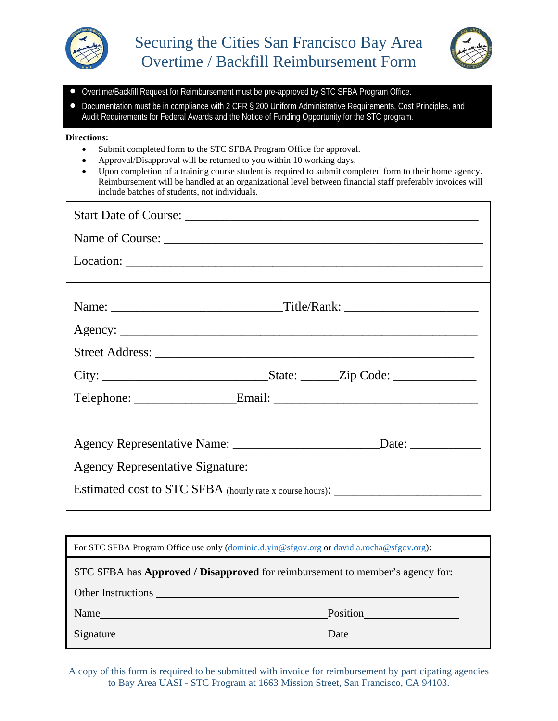



- Overtime/Backfill Request for Reimbursement must be pre-approved by STC SFBA Program Office.
- Documentation must be in compliance with 2 CFR § 200 Uniform Administrative Requirements, Cost Principles, and Audit Requirements for Federal Awards and the Notice of Funding Opportunity for the STC program.

## **Directions:**

- Submit completed form to the STC SFBA Program Office for approval.
- Approval/Disapproval will be returned to you within 10 working days.
- Upon completion of a training course student is required to submit completed form to their home agency. Reimbursement will be handled at an organizational level between financial staff preferably invoices will include batches of students, not individuals.

| Estimated cost to STC SFBA (hourly rate x course hours): ________________________ |  |  |
|-----------------------------------------------------------------------------------|--|--|

| For STC SFBA Program Office use only (dominic.d.yin@sfgov.org or david.a.rocha@sfgov.org):  |                 |  |
|---------------------------------------------------------------------------------------------|-----------------|--|
| STC SFBA has <b>Approved</b> / <b>Disapproved</b> for reimbursement to member's agency for: |                 |  |
|                                                                                             |                 |  |
| Name <u>experience</u>                                                                      | <b>Position</b> |  |
| Signature Signature                                                                         | Date            |  |

A copy of this form is required to be submitted with invoice for reimbursement by participating agencies to Bay Area UASI - STC Program at 1663 Mission Street, San Francisco, CA 94103.